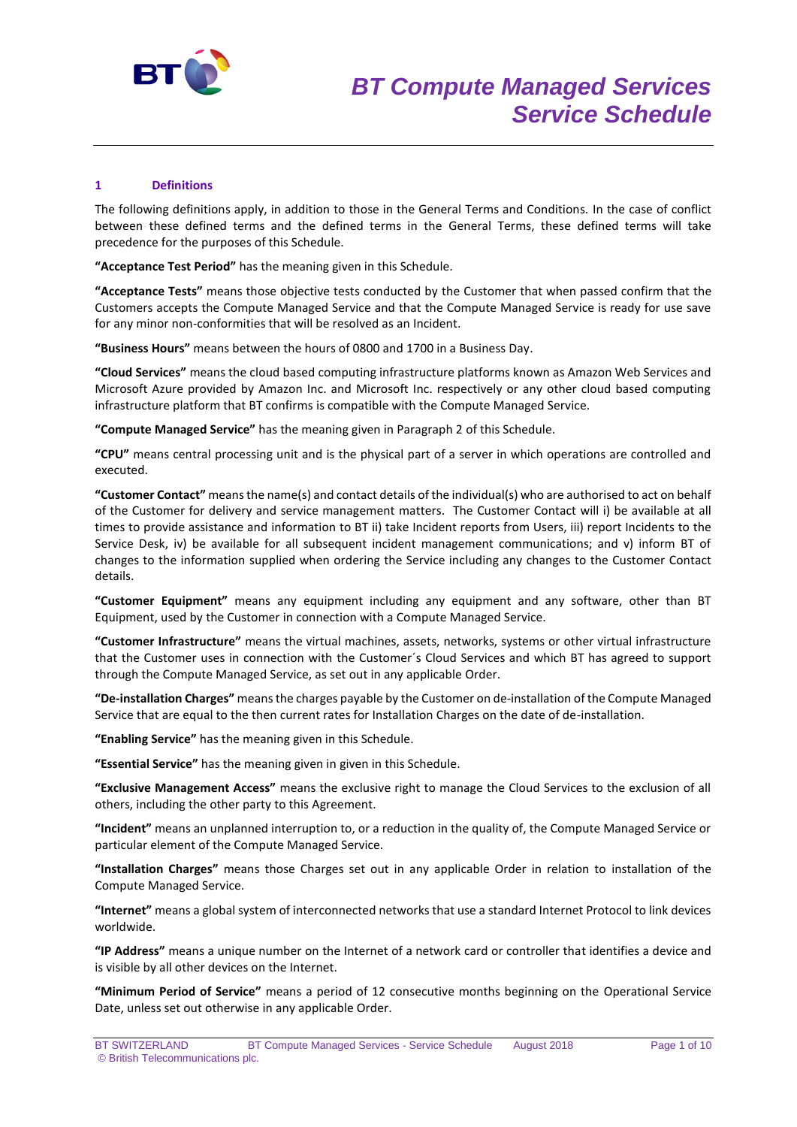

# **1 Definitions**

The following definitions apply, in addition to those in the General Terms and Conditions. In the case of conflict between these defined terms and the defined terms in the General Terms, these defined terms will take precedence for the purposes of this Schedule.

**"Acceptance Test Period"** has the meaning given in this Schedule.

**"Acceptance Tests"** means those objective tests conducted by the Customer that when passed confirm that the Customers accepts the Compute Managed Service and that the Compute Managed Service is ready for use save for any minor non-conformities that will be resolved as an Incident.

**"Business Hours"** means between the hours of 0800 and 1700 in a Business Day.

**"Cloud Services"** means the cloud based computing infrastructure platforms known as Amazon Web Services and Microsoft Azure provided by Amazon Inc. and Microsoft Inc. respectively or any other cloud based computing infrastructure platform that BT confirms is compatible with the Compute Managed Service.

**"Compute Managed Service"** has the meaning given in Paragraph 2 of this Schedule.

**"CPU"** means central processing unit and is the physical part of a server in which operations are controlled and executed.

**"Customer Contact"** means the name(s) and contact details of the individual(s) who are authorised to act on behalf of the Customer for delivery and service management matters. The Customer Contact will i) be available at all times to provide assistance and information to BT ii) take Incident reports from Users, iii) report Incidents to the Service Desk, iv) be available for all subsequent incident management communications; and v) inform BT of changes to the information supplied when ordering the Service including any changes to the Customer Contact details.

**"Customer Equipment"** means any equipment including any equipment and any software, other than BT Equipment, used by the Customer in connection with a Compute Managed Service.

**"Customer Infrastructure"** means the virtual machines, assets, networks, systems or other virtual infrastructure that the Customer uses in connection with the Customer´s Cloud Services and which BT has agreed to support through the Compute Managed Service, as set out in any applicable Order.

**"De-installation Charges"** means the charges payable by the Customer on de-installation of the Compute Managed Service that are equal to the then current rates for Installation Charges on the date of de-installation.

**"Enabling Service"** has the meaning given in this Schedule.

**"Essential Service"** has the meaning given in given in this Schedule.

**"Exclusive Management Access"** means the exclusive right to manage the Cloud Services to the exclusion of all others, including the other party to this Agreement.

**"Incident"** means an unplanned interruption to, or a reduction in the quality of, the Compute Managed Service or particular element of the Compute Managed Service.

**"Installation Charges"** means those Charges set out in any applicable Order in relation to installation of the Compute Managed Service.

**"Internet"** means a global system of interconnected networks that use a standard Internet Protocol to link devices worldwide.

**"IP Address"** means a unique number on the Internet of a network card or controller that identifies a device and is visible by all other devices on the Internet.

**"Minimum Period of Service"** means a period of 12 consecutive months beginning on the Operational Service Date, unless set out otherwise in any applicable Order.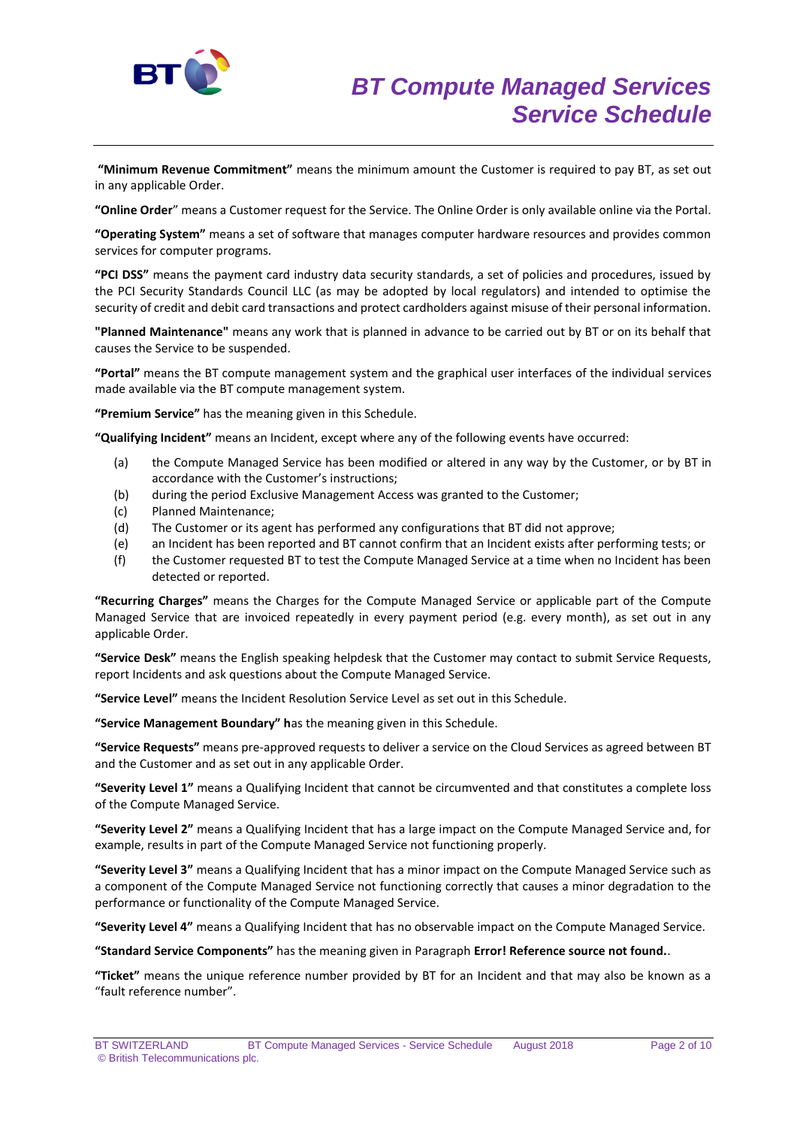

**"Minimum Revenue Commitment"** means the minimum amount the Customer is required to pay BT, as set out in any applicable Order.

**"Online Order**" means a Customer request for the Service. The Online Order is only available online via the Portal.

**"Operating System"** means a set of software that manages computer hardware resources and provides common services for computer programs.

**"PCI DSS"** means the payment card industry data security standards, a set of policies and procedures, issued by the PCI Security Standards Council LLC (as may be adopted by local regulators) and intended to optimise the security of credit and debit card transactions and protect cardholders against misuse of their personal information.

**"Planned Maintenance"** means any work that is planned in advance to be carried out by BT or on its behalf that causes the Service to be suspended.

**"Portal"** means the BT compute management system and the graphical user interfaces of the individual services made available via the BT compute management system.

**"Premium Service"** has the meaning given in this Schedule.

**"Qualifying Incident"** means an Incident, except where any of the following events have occurred:

- (a) the Compute Managed Service has been modified or altered in any way by the Customer, or by BT in accordance with the Customer's instructions;
- (b) during the period Exclusive Management Access was granted to the Customer;
- (c) Planned Maintenance;
- (d) The Customer or its agent has performed any configurations that BT did not approve;
- (e) an Incident has been reported and BT cannot confirm that an Incident exists after performing tests; or
- (f) the Customer requested BT to test the Compute Managed Service at a time when no Incident has been detected or reported.

**"Recurring Charges"** means the Charges for the Compute Managed Service or applicable part of the Compute Managed Service that are invoiced repeatedly in every payment period (e.g. every month), as set out in any applicable Order.

**"Service Desk"** means the English speaking helpdesk that the Customer may contact to submit Service Requests, report Incidents and ask questions about the Compute Managed Service.

**"Service Level"** means the Incident Resolution Service Level as set out in this Schedule.

**"Service Management Boundary" h**as the meaning given in this Schedule.

**"Service Requests"** means pre-approved requests to deliver a service on the Cloud Services as agreed between BT and the Customer and as set out in any applicable Order.

**"Severity Level 1"** means a Qualifying Incident that cannot be circumvented and that constitutes a complete loss of the Compute Managed Service.

**"Severity Level 2"** means a Qualifying Incident that has a large impact on the Compute Managed Service and, for example, results in part of the Compute Managed Service not functioning properly.

**"Severity Level 3"** means a Qualifying Incident that has a minor impact on the Compute Managed Service such as a component of the Compute Managed Service not functioning correctly that causes a minor degradation to the performance or functionality of the Compute Managed Service.

**"Severity Level 4"** means a Qualifying Incident that has no observable impact on the Compute Managed Service.

**"Standard Service Components"** has the meaning given in Paragraph **Error! Reference source not found.**.

**"Ticket"** means the unique reference number provided by BT for an Incident and that may also be known as a "fault reference number".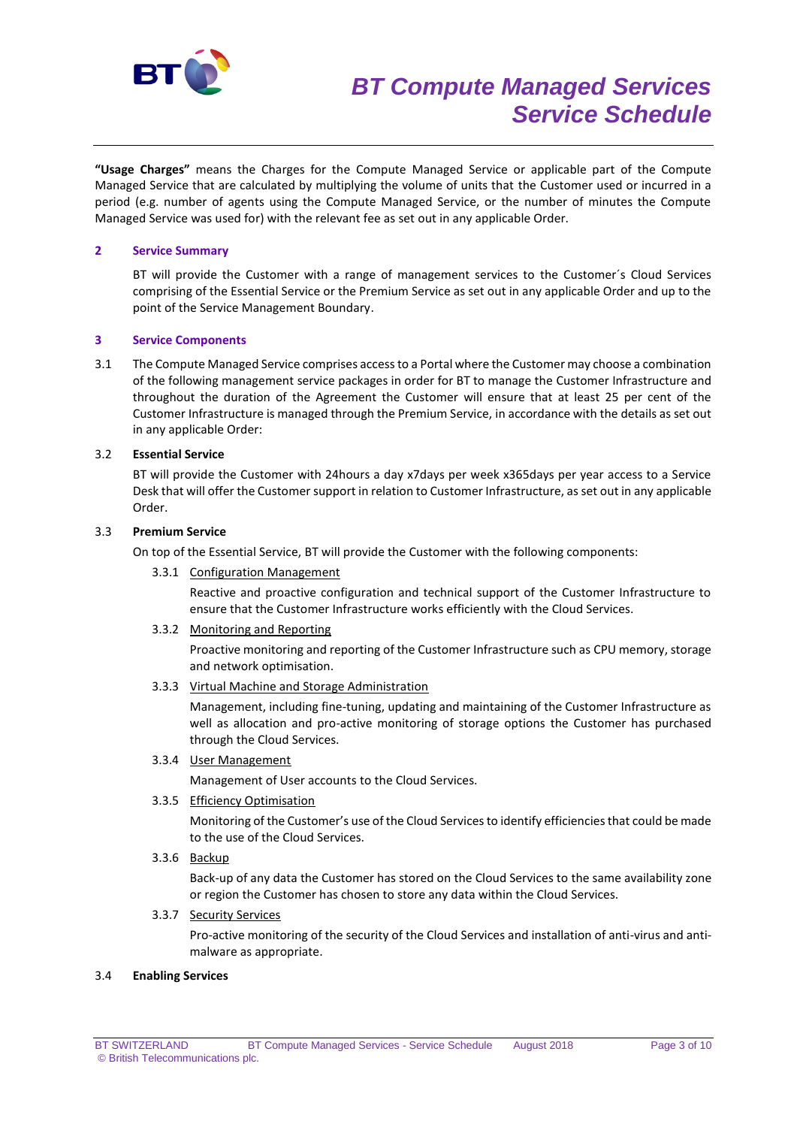

# *BT Compute Managed Services Service Schedule*

**"Usage Charges"** means the Charges for the Compute Managed Service or applicable part of the Compute Managed Service that are calculated by multiplying the volume of units that the Customer used or incurred in a period (e.g. number of agents using the Compute Managed Service, or the number of minutes the Compute Managed Service was used for) with the relevant fee as set out in any applicable Order.

## **2 Service Summary**

BT will provide the Customer with a range of management services to the Customer´s Cloud Services comprising of the Essential Service or the Premium Service as set out in any applicable Order and up to the point of the Service Management Boundary.

## **3 Service Components**

3.1 The Compute Managed Service comprises access to a Portal where the Customer may choose a combination of the following management service packages in order for BT to manage the Customer Infrastructure and throughout the duration of the Agreement the Customer will ensure that at least 25 per cent of the Customer Infrastructure is managed through the Premium Service, in accordance with the details as set out in any applicable Order:

## 3.2 **Essential Service**

BT will provide the Customer with 24hours a day x7days per week x365days per year access to a Service Desk that will offer the Customer support in relation to Customer Infrastructure, as set out in any applicable Order.

# 3.3 **Premium Service**

On top of the Essential Service, BT will provide the Customer with the following components:

3.3.1 Configuration Management

Reactive and proactive configuration and technical support of the Customer Infrastructure to ensure that the Customer Infrastructure works efficiently with the Cloud Services.

3.3.2 Monitoring and Reporting

Proactive monitoring and reporting of the Customer Infrastructure such as CPU memory, storage and network optimisation.

3.3.3 Virtual Machine and Storage Administration

Management, including fine-tuning, updating and maintaining of the Customer Infrastructure as well as allocation and pro-active monitoring of storage options the Customer has purchased through the Cloud Services.

#### 3.3.4 User Management

Management of User accounts to the Cloud Services.

# 3.3.5 Efficiency Optimisation

Monitoring of the Customer's use of the Cloud Services to identify efficiencies that could be made to the use of the Cloud Services.

3.3.6 Backup

Back-up of any data the Customer has stored on the Cloud Services to the same availability zone or region the Customer has chosen to store any data within the Cloud Services.

# 3.3.7 Security Services

Pro-active monitoring of the security of the Cloud Services and installation of anti-virus and antimalware as appropriate.

#### 3.4 **Enabling Services**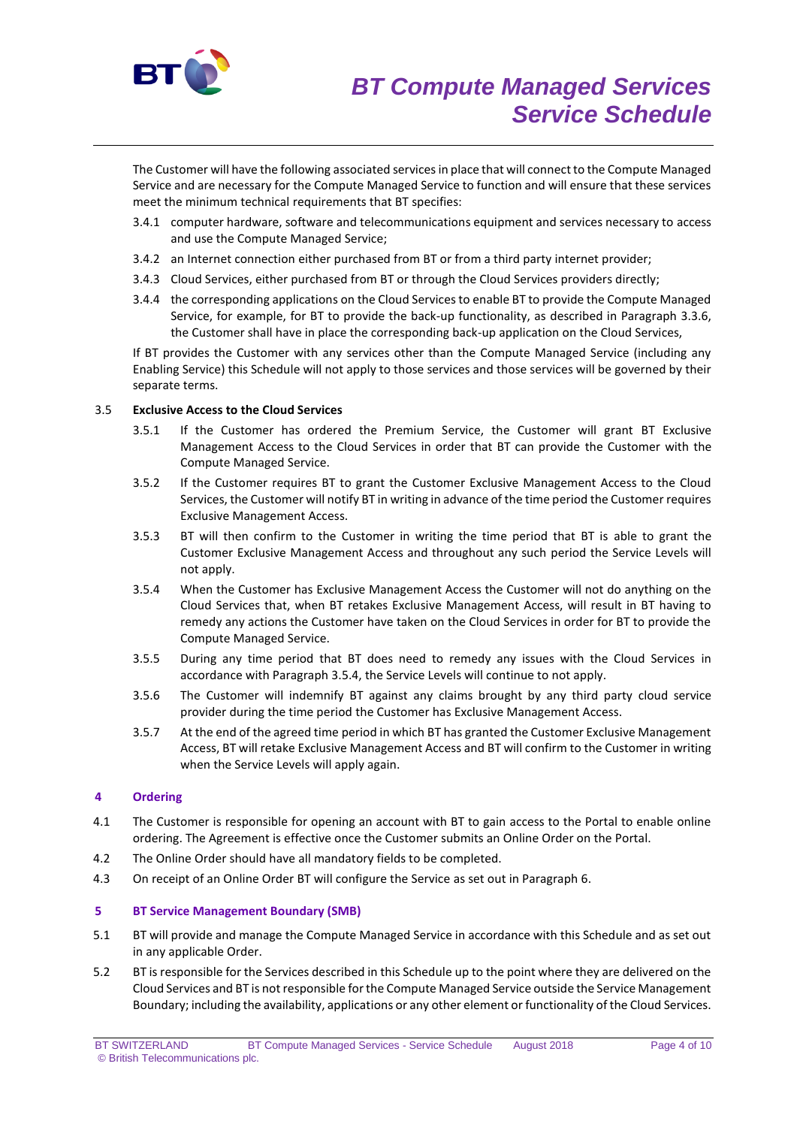

The Customer will have the following associated services in place that will connect to the Compute Managed Service and are necessary for the Compute Managed Service to function and will ensure that these services meet the minimum technical requirements that BT specifies:

- 3.4.1 computer hardware, software and telecommunications equipment and services necessary to access and use the Compute Managed Service;
- 3.4.2 an Internet connection either purchased from BT or from a third party internet provider;
- 3.4.3 Cloud Services, either purchased from BT or through the Cloud Services providers directly;
- 3.4.4 the corresponding applications on the Cloud Services to enable BT to provide the Compute Managed Service, for example, for BT to provide the back-up functionality, as described in Paragraph 3.3.6, the Customer shall have in place the corresponding back-up application on the Cloud Services,

If BT provides the Customer with any services other than the Compute Managed Service (including any Enabling Service) this Schedule will not apply to those services and those services will be governed by their separate terms.

## 3.5 **Exclusive Access to the Cloud Services**

- 3.5.1 If the Customer has ordered the Premium Service, the Customer will grant BT Exclusive Management Access to the Cloud Services in order that BT can provide the Customer with the Compute Managed Service.
- 3.5.2 If the Customer requires BT to grant the Customer Exclusive Management Access to the Cloud Services, the Customer will notify BT in writing in advance of the time period the Customer requires Exclusive Management Access.
- 3.5.3 BT will then confirm to the Customer in writing the time period that BT is able to grant the Customer Exclusive Management Access and throughout any such period the Service Levels will not apply.
- 3.5.4 When the Customer has Exclusive Management Access the Customer will not do anything on the Cloud Services that, when BT retakes Exclusive Management Access, will result in BT having to remedy any actions the Customer have taken on the Cloud Services in order for BT to provide the Compute Managed Service.
- 3.5.5 During any time period that BT does need to remedy any issues with the Cloud Services in accordance with Paragraph 3.5.4, the Service Levels will continue to not apply.
- 3.5.6 The Customer will indemnify BT against any claims brought by any third party cloud service provider during the time period the Customer has Exclusive Management Access.
- 3.5.7 At the end of the agreed time period in which BT has granted the Customer Exclusive Management Access, BT will retake Exclusive Management Access and BT will confirm to the Customer in writing when the Service Levels will apply again.

# **4 Ordering**

- 4.1 The Customer is responsible for opening an account with BT to gain access to the Portal to enable online ordering. The Agreement is effective once the Customer submits an Online Order on the Portal.
- 4.2 The Online Order should have all mandatory fields to be completed.
- 4.3 On receipt of an Online Order BT will configure the Service as set out in Paragraph 6.

#### **5 BT Service Management Boundary (SMB)**

- 5.1 BT will provide and manage the Compute Managed Service in accordance with this Schedule and as set out in any applicable Order.
- 5.2 BT is responsible for the Services described in this Schedule up to the point where they are delivered on the Cloud Services and BT is not responsible for the Compute Managed Service outside the Service Management Boundary; including the availability, applications or any other element or functionality of the Cloud Services.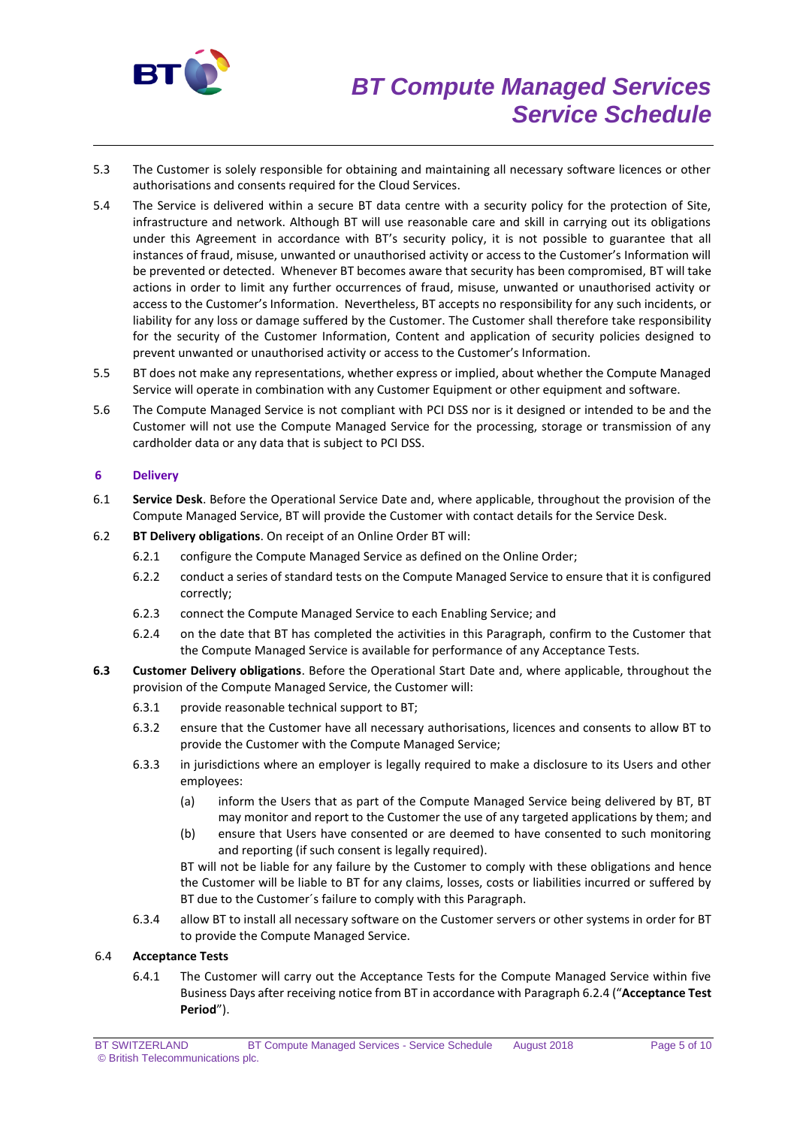

- 5.3 The Customer is solely responsible for obtaining and maintaining all necessary software licences or other authorisations and consents required for the Cloud Services.
- 5.4 The Service is delivered within a secure BT data centre with a security policy for the protection of Site, infrastructure and network. Although BT will use reasonable care and skill in carrying out its obligations under this Agreement in accordance with BT's security policy, it is not possible to guarantee that all instances of fraud, misuse, unwanted or unauthorised activity or access to the Customer's Information will be prevented or detected. Whenever BT becomes aware that security has been compromised, BT will take actions in order to limit any further occurrences of fraud, misuse, unwanted or unauthorised activity or access to the Customer's Information. Nevertheless, BT accepts no responsibility for any such incidents, or liability for any loss or damage suffered by the Customer. The Customer shall therefore take responsibility for the security of the Customer Information, Content and application of security policies designed to prevent unwanted or unauthorised activity or access to the Customer's Information.
- 5.5 BT does not make any representations, whether express or implied, about whether the Compute Managed Service will operate in combination with any Customer Equipment or other equipment and software.
- 5.6 The Compute Managed Service is not compliant with PCI DSS nor is it designed or intended to be and the Customer will not use the Compute Managed Service for the processing, storage or transmission of any cardholder data or any data that is subject to PCI DSS.

# **6 Delivery**

- 6.1 **Service Desk**. Before the Operational Service Date and, where applicable, throughout the provision of the Compute Managed Service, BT will provide the Customer with contact details for the Service Desk.
- 6.2 **BT Delivery obligations**. On receipt of an Online Order BT will:
	- 6.2.1 configure the Compute Managed Service as defined on the Online Order;
	- 6.2.2 conduct a series of standard tests on the Compute Managed Service to ensure that it is configured correctly;
	- 6.2.3 connect the Compute Managed Service to each Enabling Service; and
	- 6.2.4 on the date that BT has completed the activities in this Paragraph, confirm to the Customer that the Compute Managed Service is available for performance of any Acceptance Tests.
- **6.3 Customer Delivery obligations**. Before the Operational Start Date and, where applicable, throughout the provision of the Compute Managed Service, the Customer will:
	- 6.3.1 provide reasonable technical support to BT;
	- 6.3.2 ensure that the Customer have all necessary authorisations, licences and consents to allow BT to provide the Customer with the Compute Managed Service;
	- 6.3.3 in jurisdictions where an employer is legally required to make a disclosure to its Users and other employees:
		- (a) inform the Users that as part of the Compute Managed Service being delivered by BT, BT may monitor and report to the Customer the use of any targeted applications by them; and
		- (b) ensure that Users have consented or are deemed to have consented to such monitoring and reporting (if such consent is legally required).

BT will not be liable for any failure by the Customer to comply with these obligations and hence the Customer will be liable to BT for any claims, losses, costs or liabilities incurred or suffered by BT due to the Customer´s failure to comply with this Paragraph.

6.3.4 allow BT to install all necessary software on the Customer servers or other systems in order for BT to provide the Compute Managed Service.

# 6.4 **Acceptance Tests**

6.4.1 The Customer will carry out the Acceptance Tests for the Compute Managed Service within five Business Days after receiving notice from BT in accordance with Paragraph 6.2.4 ("**Acceptance Test Period**").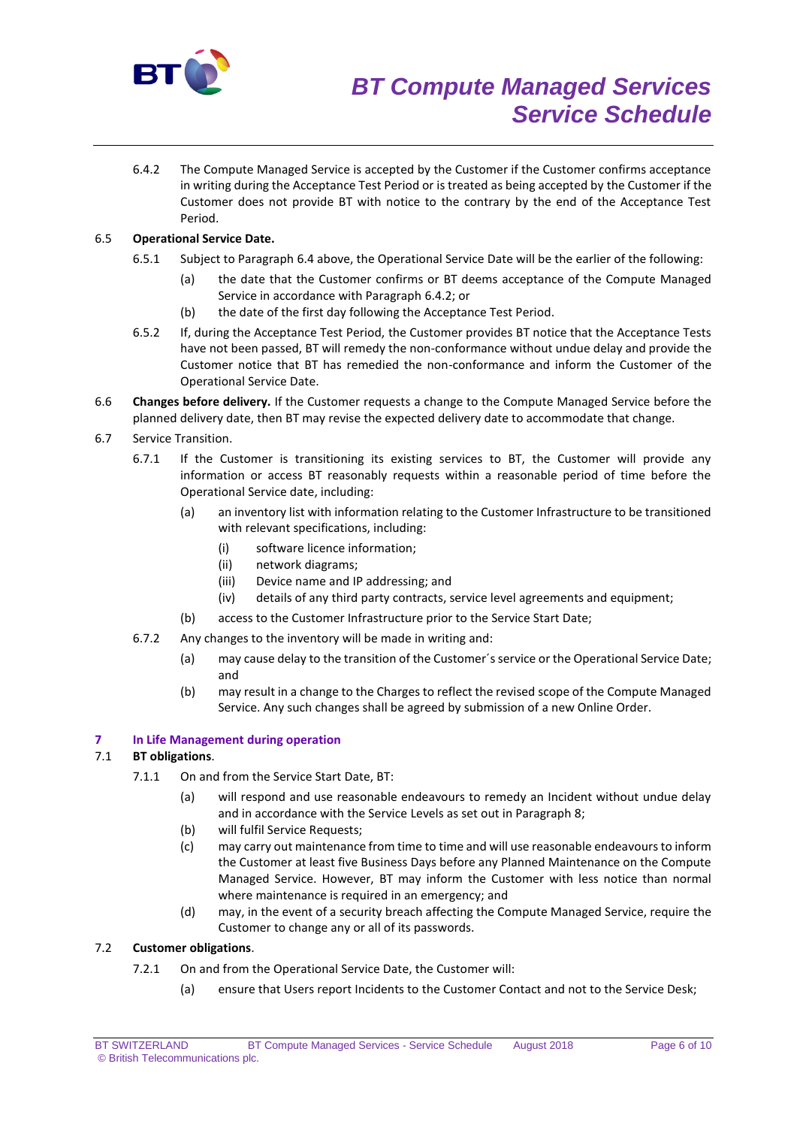

6.4.2 The Compute Managed Service is accepted by the Customer if the Customer confirms acceptance in writing during the Acceptance Test Period or is treated as being accepted by the Customer if the Customer does not provide BT with notice to the contrary by the end of the Acceptance Test Period.

# 6.5 **Operational Service Date.**

- 6.5.1 Subject to Paragraph 6.4 above, the Operational Service Date will be the earlier of the following:
	- (a) the date that the Customer confirms or BT deems acceptance of the Compute Managed Service in accordance with Paragraph 6.4.2; or
	- (b) the date of the first day following the Acceptance Test Period.
- 6.5.2 If, during the Acceptance Test Period, the Customer provides BT notice that the Acceptance Tests have not been passed, BT will remedy the non-conformance without undue delay and provide the Customer notice that BT has remedied the non-conformance and inform the Customer of the Operational Service Date.
- 6.6 **Changes before delivery.** If the Customer requests a change to the Compute Managed Service before the planned delivery date, then BT may revise the expected delivery date to accommodate that change.
- 6.7 Service Transition.
	- 6.7.1 If the Customer is transitioning its existing services to BT, the Customer will provide any information or access BT reasonably requests within a reasonable period of time before the Operational Service date, including:
		- (a) an inventory list with information relating to the Customer Infrastructure to be transitioned with relevant specifications, including:
			- (i) software licence information;
			- (ii) network diagrams;
			- (iii) Device name and IP addressing; and
			- (iv) details of any third party contracts, service level agreements and equipment;
		- (b) access to the Customer Infrastructure prior to the Service Start Date;
	- 6.7.2 Any changes to the inventory will be made in writing and:
		- (a) may cause delay to the transition of the Customer's service or the Operational Service Date; and
		- (b) may result in a change to the Charges to reflect the revised scope of the Compute Managed Service. Any such changes shall be agreed by submission of a new Online Order.

# **7 In Life Management during operation**

# 7.1 **BT obligations**.

- 7.1.1 On and from the Service Start Date, BT:
	- (a) will respond and use reasonable endeavours to remedy an Incident without undue delay and in accordance with the Service Levels as set out in Paragraph 8;
	- (b) will fulfil Service Requests;
	- (c) may carry out maintenance from time to time and will use reasonable endeavours to inform the Customer at least five Business Days before any Planned Maintenance on the Compute Managed Service. However, BT may inform the Customer with less notice than normal where maintenance is required in an emergency; and
	- (d) may, in the event of a security breach affecting the Compute Managed Service, require the Customer to change any or all of its passwords.

# 7.2 **Customer obligations**.

- 7.2.1 On and from the Operational Service Date, the Customer will:
	- (a) ensure that Users report Incidents to the Customer Contact and not to the Service Desk;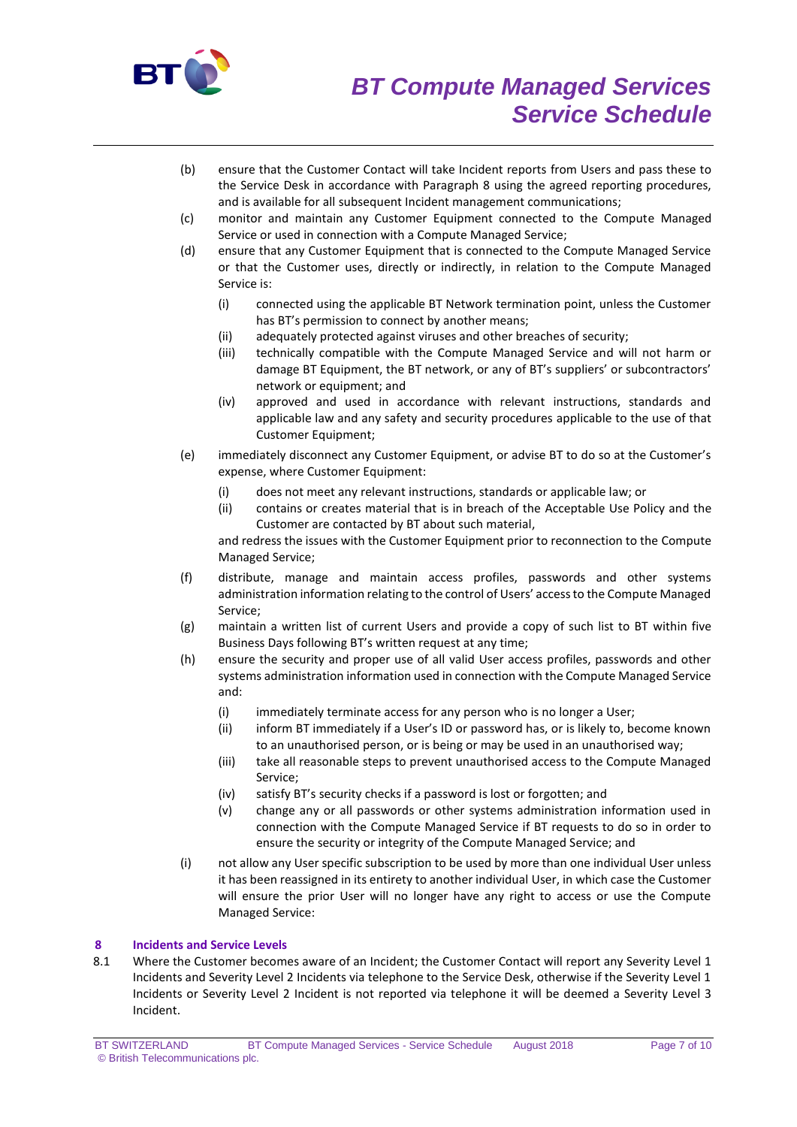

- (b) ensure that the Customer Contact will take Incident reports from Users and pass these to the Service Desk in accordance with Paragraph 8 using the agreed reporting procedures, and is available for all subsequent Incident management communications;
- (c) monitor and maintain any Customer Equipment connected to the Compute Managed Service or used in connection with a Compute Managed Service;
- (d) ensure that any Customer Equipment that is connected to the Compute Managed Service or that the Customer uses, directly or indirectly, in relation to the Compute Managed Service is:
	- (i) connected using the applicable BT Network termination point, unless the Customer has BT's permission to connect by another means;
	- (ii) adequately protected against viruses and other breaches of security;
	- (iii) technically compatible with the Compute Managed Service and will not harm or damage BT Equipment, the BT network, or any of BT's suppliers' or subcontractors' network or equipment; and
	- (iv) approved and used in accordance with relevant instructions, standards and applicable law and any safety and security procedures applicable to the use of that Customer Equipment;
- (e) immediately disconnect any Customer Equipment, or advise BT to do so at the Customer's expense, where Customer Equipment:
	- (i) does not meet any relevant instructions, standards or applicable law; or
	- (ii) contains or creates material that is in breach of the Acceptable Use Policy and the Customer are contacted by BT about such material,

and redress the issues with the Customer Equipment prior to reconnection to the Compute Managed Service;

- (f) distribute, manage and maintain access profiles, passwords and other systems administration information relating to the control of Users' access to the Compute Managed Service;
- (g) maintain a written list of current Users and provide a copy of such list to BT within five Business Days following BT's written request at any time;
- (h) ensure the security and proper use of all valid User access profiles, passwords and other systems administration information used in connection with the Compute Managed Service and:
	- (i) immediately terminate access for any person who is no longer a User;
	- (ii) inform BT immediately if a User's ID or password has, or is likely to, become known to an unauthorised person, or is being or may be used in an unauthorised way;
	- (iii) take all reasonable steps to prevent unauthorised access to the Compute Managed Service;
	- (iv) satisfy BT's security checks if a password is lost or forgotten; and
	- (v) change any or all passwords or other systems administration information used in connection with the Compute Managed Service if BT requests to do so in order to ensure the security or integrity of the Compute Managed Service; and
- (i) not allow any User specific subscription to be used by more than one individual User unless it has been reassigned in its entirety to another individual User, in which case the Customer will ensure the prior User will no longer have any right to access or use the Compute Managed Service:

# **8 Incidents and Service Levels**

8.1 Where the Customer becomes aware of an Incident; the Customer Contact will report any Severity Level 1 Incidents and Severity Level 2 Incidents via telephone to the Service Desk, otherwise if the Severity Level 1 Incidents or Severity Level 2 Incident is not reported via telephone it will be deemed a Severity Level 3 Incident.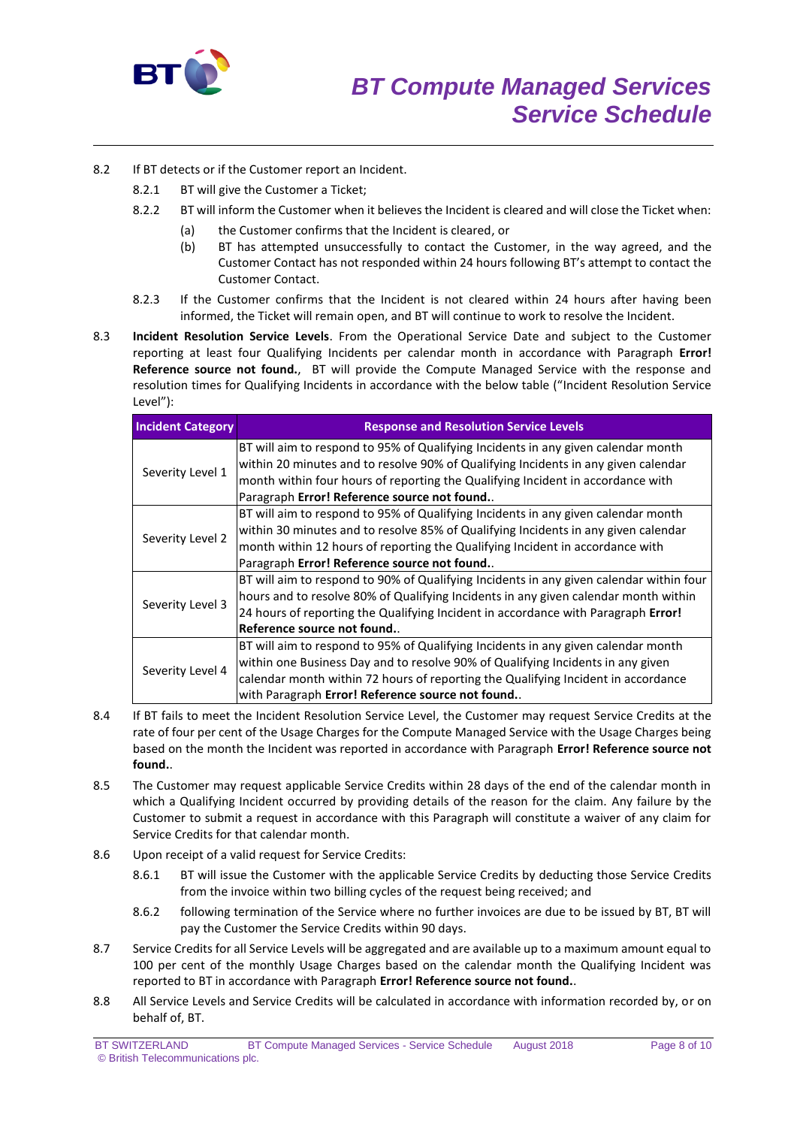

- 8.2 If BT detects or if the Customer report an Incident.
	- 8.2.1 BT will give the Customer a Ticket;
	- 8.2.2 BT will inform the Customer when it believes the Incident is cleared and will close the Ticket when:
		- (a) the Customer confirms that the Incident is cleared, or
		- (b) BT has attempted unsuccessfully to contact the Customer, in the way agreed, and the Customer Contact has not responded within 24 hours following BT's attempt to contact the Customer Contact.
	- 8.2.3 If the Customer confirms that the Incident is not cleared within 24 hours after having been informed, the Ticket will remain open, and BT will continue to work to resolve the Incident.
- 8.3 **Incident Resolution Service Levels**. From the Operational Service Date and subject to the Customer reporting at least four Qualifying Incidents per calendar month in accordance with Paragraph **Error! Reference source not found.**, BT will provide the Compute Managed Service with the response and resolution times for Qualifying Incidents in accordance with the below table ("Incident Resolution Service Level"):

| <b>Incident Category</b> | <b>Response and Resolution Service Levels</b>                                           |
|--------------------------|-----------------------------------------------------------------------------------------|
| Severity Level 1         | BT will aim to respond to 95% of Qualifying Incidents in any given calendar month       |
|                          | within 20 minutes and to resolve 90% of Qualifying Incidents in any given calendar      |
|                          | month within four hours of reporting the Qualifying Incident in accordance with         |
|                          | Paragraph Error! Reference source not found                                             |
| Severity Level 2         | BT will aim to respond to 95% of Qualifying Incidents in any given calendar month       |
|                          | within 30 minutes and to resolve 85% of Qualifying Incidents in any given calendar      |
|                          | month within 12 hours of reporting the Qualifying Incident in accordance with           |
|                          | Paragraph Error! Reference source not found                                             |
| Severity Level 3         | BT will aim to respond to 90% of Qualifying Incidents in any given calendar within four |
|                          | hours and to resolve 80% of Qualifying Incidents in any given calendar month within     |
|                          | 24 hours of reporting the Qualifying Incident in accordance with Paragraph Error!       |
|                          | Reference source not found.                                                             |
| Severity Level 4         | BT will aim to respond to 95% of Qualifying Incidents in any given calendar month       |
|                          | within one Business Day and to resolve 90% of Qualifying Incidents in any given         |
|                          | calendar month within 72 hours of reporting the Qualifying Incident in accordance       |
|                          | with Paragraph Error! Reference source not found                                        |

- 8.4 If BT fails to meet the Incident Resolution Service Level, the Customer may request Service Credits at the rate of four per cent of the Usage Charges for the Compute Managed Service with the Usage Charges being based on the month the Incident was reported in accordance with Paragraph **Error! Reference source not found.**.
- 8.5 The Customer may request applicable Service Credits within 28 days of the end of the calendar month in which a Qualifying Incident occurred by providing details of the reason for the claim. Any failure by the Customer to submit a request in accordance with this Paragraph will constitute a waiver of any claim for Service Credits for that calendar month.
- 8.6 Upon receipt of a valid request for Service Credits:
	- 8.6.1 BT will issue the Customer with the applicable Service Credits by deducting those Service Credits from the invoice within two billing cycles of the request being received; and
	- 8.6.2 following termination of the Service where no further invoices are due to be issued by BT, BT will pay the Customer the Service Credits within 90 days.
- 8.7 Service Credits for all Service Levels will be aggregated and are available up to a maximum amount equal to 100 per cent of the monthly Usage Charges based on the calendar month the Qualifying Incident was reported to BT in accordance with Paragraph **Error! Reference source not found.**.
- 8.8 All Service Levels and Service Credits will be calculated in accordance with information recorded by, or on behalf of, BT.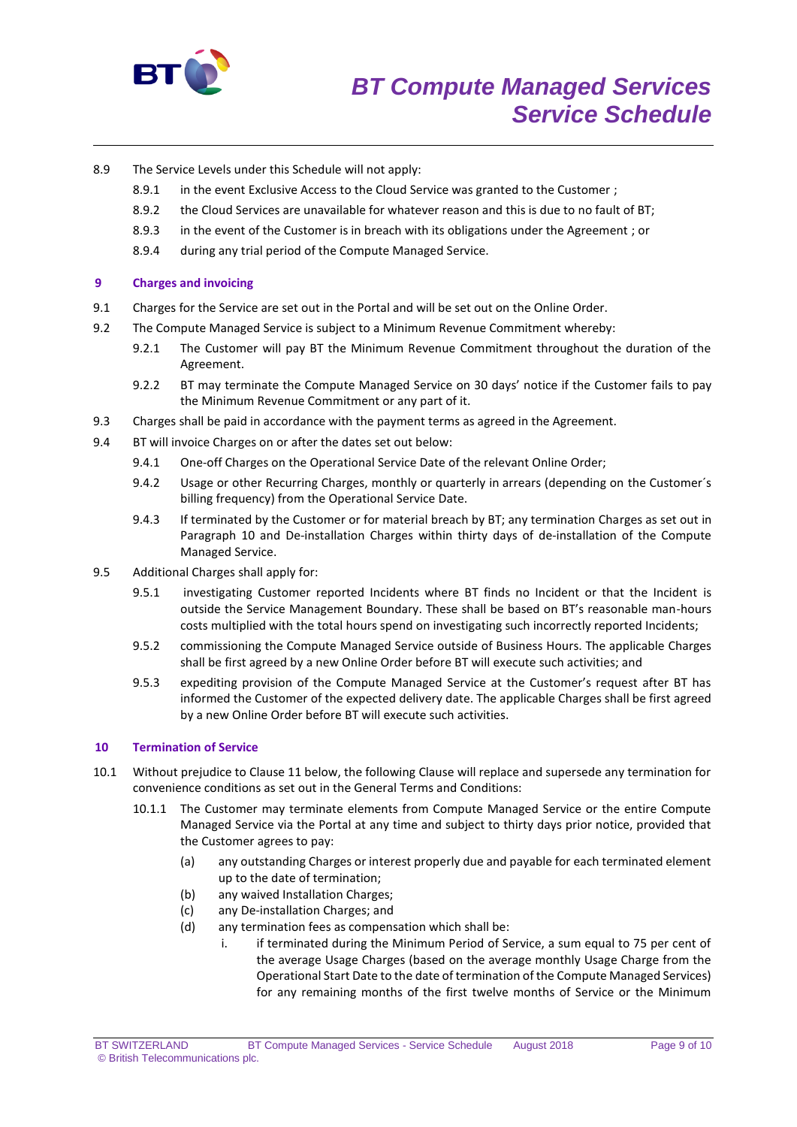

- 8.9 The Service Levels under this Schedule will not apply:
	- 8.9.1 in the event Exclusive Access to the Cloud Service was granted to the Customer;
	- 8.9.2 the Cloud Services are unavailable for whatever reason and this is due to no fault of BT;
	- 8.9.3 in the event of the Customer is in breach with its obligations under the Agreement ; or
	- 8.9.4 during any trial period of the Compute Managed Service.

# **9 Charges and invoicing**

- 9.1 Charges for the Service are set out in the Portal and will be set out on the Online Order.
- 9.2 The Compute Managed Service is subject to a Minimum Revenue Commitment whereby:
	- 9.2.1 The Customer will pay BT the Minimum Revenue Commitment throughout the duration of the Agreement.
	- 9.2.2 BT may terminate the Compute Managed Service on 30 days' notice if the Customer fails to pay the Minimum Revenue Commitment or any part of it.
- 9.3 Charges shall be paid in accordance with the payment terms as agreed in the Agreement.
- 9.4 BT will invoice Charges on or after the dates set out below:
	- 9.4.1 One-off Charges on the Operational Service Date of the relevant Online Order;
	- 9.4.2 Usage or other Recurring Charges, monthly or quarterly in arrears (depending on the Customer's billing frequency) from the Operational Service Date.
	- 9.4.3 If terminated by the Customer or for material breach by BT; any termination Charges as set out in Paragraph 10 and De-installation Charges within thirty days of de-installation of the Compute Managed Service.
- 9.5 Additional Charges shall apply for:
	- 9.5.1 investigating Customer reported Incidents where BT finds no Incident or that the Incident is outside the Service Management Boundary. These shall be based on BT's reasonable man-hours costs multiplied with the total hours spend on investigating such incorrectly reported Incidents;
	- 9.5.2 commissioning the Compute Managed Service outside of Business Hours. The applicable Charges shall be first agreed by a new Online Order before BT will execute such activities; and
	- 9.5.3 expediting provision of the Compute Managed Service at the Customer's request after BT has informed the Customer of the expected delivery date. The applicable Charges shall be first agreed by a new Online Order before BT will execute such activities.

# **10 Termination of Service**

- 10.1 Without prejudice to Clause 11 below, the following Clause will replace and supersede any termination for convenience conditions as set out in the General Terms and Conditions:
	- 10.1.1 The Customer may terminate elements from Compute Managed Service or the entire Compute Managed Service via the Portal at any time and subject to thirty days prior notice, provided that the Customer agrees to pay:
		- (a) any outstanding Charges or interest properly due and payable for each terminated element up to the date of termination;
		- (b) any waived Installation Charges;
		- (c) any De-installation Charges; and
		- (d) any termination fees as compensation which shall be:
			- i. if terminated during the Minimum Period of Service, a sum equal to 75 per cent of the average Usage Charges (based on the average monthly Usage Charge from the Operational Start Date to the date of termination of the Compute Managed Services) for any remaining months of the first twelve months of Service or the Minimum